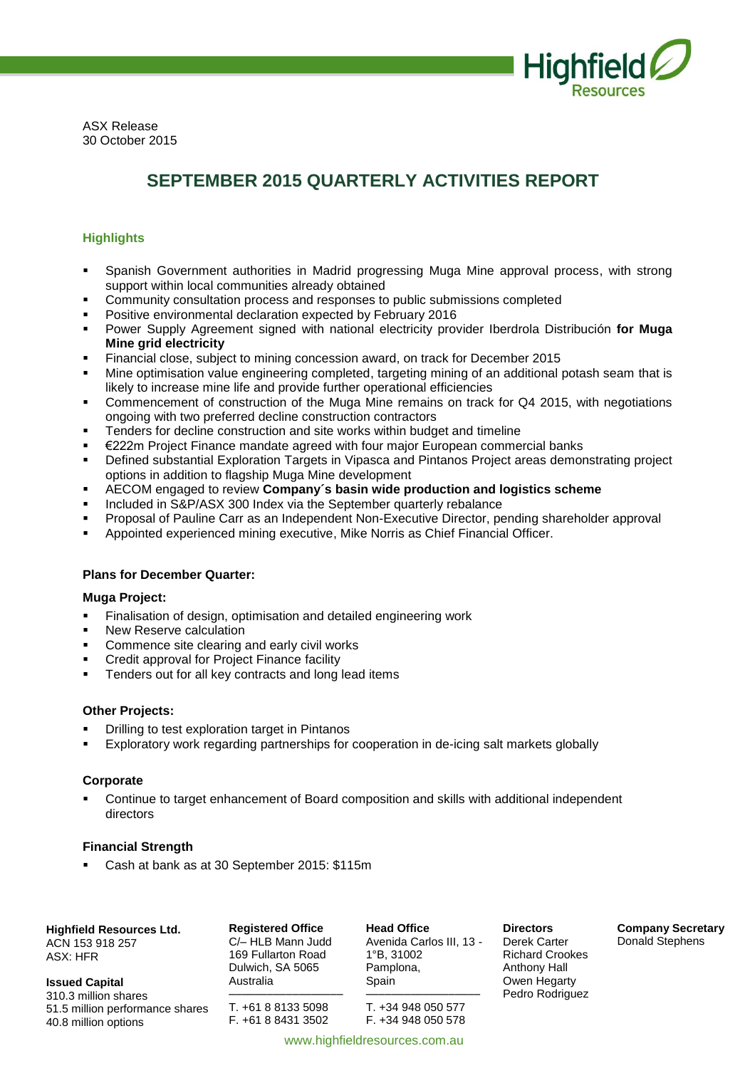

ASX Release 30 October 2015

# **SEPTEMBER 2015 QUARTERLY ACTIVITIES REPORT**

# **Highlights**

- Spanish Government authorities in Madrid progressing Muga Mine approval process, with strong support within local communities already obtained
- Community consultation process and responses to public submissions completed
- Positive environmental declaration expected by February 2016
- Power Supply Agreement signed with national electricity provider Iberdrola Distribución **for Muga Mine grid electricity**
- Financial close, subject to mining concession award, on track for December 2015
- Mine optimisation value engineering completed, targeting mining of an additional potash seam that is likely to increase mine life and provide further operational efficiencies
- Commencement of construction of the Muga Mine remains on track for Q4 2015, with negotiations ongoing with two preferred decline construction contractors
- Tenders for decline construction and site works within budget and timeline
- €222m Project Finance mandate agreed with four major European commercial banks
- Defined substantial Exploration Targets in Vipasca and Pintanos Project areas demonstrating project options in addition to flagship Muga Mine development
- AECOM engaged to review **Company´s basin wide production and logistics scheme**
- Included in S&P/ASX 300 Index via the September quarterly rebalance
- Proposal of Pauline Carr as an Independent Non-Executive Director, pending shareholder approval
- Appointed experienced mining executive, Mike Norris as Chief Financial Officer.

# **Plans for December Quarter:**

# **Muga Project:**

- **Finalisation of design, optimisation and detailed engineering work**
- New Reserve calculation
- Commence site clearing and early civil works
- Credit approval for Project Finance facility
- Tenders out for all key contracts and long lead items

# **Other Projects:**

- Drilling to test exploration target in Pintanos
- Exploratory work regarding partnerships for cooperation in de-icing salt markets globally

# **Corporate**

 Continue to target enhancement of Board composition and skills with additional independent directors

www.highfieldresources.com.au

# **Financial Strength**

Cash at bank as at 30 September 2015: \$115m

**Highfield Resources Ltd.**

ACN 153 918 257 ASX: HFR

**Issued Capital** 310.3 million shares 51.5 million performance shares 40.8 million options

**Registered Office** C/– HLB Mann Judd 169 Fullarton Road Dulwich, SA 5065 Australia

–––––––––––––––––– T. +61 8 8133 5098 F. +61 8 8431 3502

**Head Office** Avenida Carlos III, 13 - 1°B, 31002 Pamplona, Spain

–––––––––––––––––– T. +34 948 050 577 F. +34 948 050 578

**Directors** Derek Carter Richard Crookes Anthony Hall Owen Hegarty Pedro Rodriguez **Company Secretary** Donald Stephens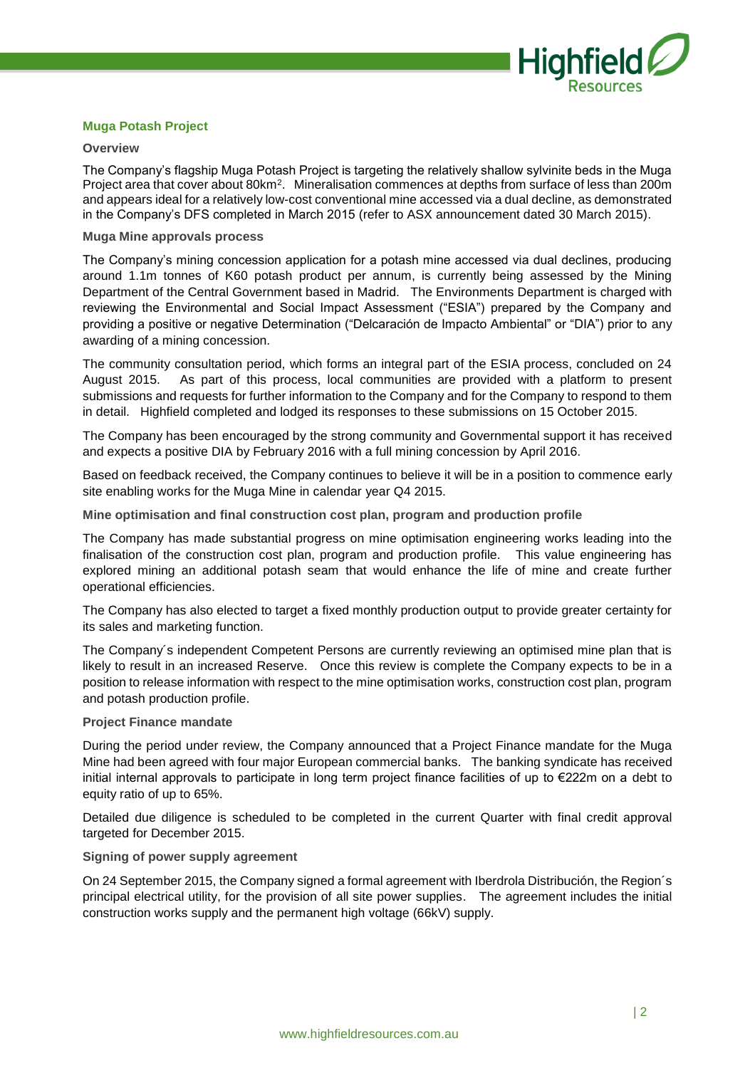

# **Muga Potash Project**

#### **Overview**

The Company's flagship Muga Potash Project is targeting the relatively shallow sylvinite beds in the Muga Project area that cover about 80km<sup>2</sup> . Mineralisation commences at depths from surface of less than 200m and appears ideal for a relatively low-cost conventional mine accessed via a dual decline, as demonstrated in the Company's DFS completed in March 2015 (refer to ASX announcement dated 30 March 2015).

# **Muga Mine approvals process**

The Company's mining concession application for a potash mine accessed via dual declines, producing around 1.1m tonnes of K60 potash product per annum, is currently being assessed by the Mining Department of the Central Government based in Madrid. The Environments Department is charged with reviewing the Environmental and Social Impact Assessment ("ESIA") prepared by the Company and providing a positive or negative Determination ("Delcaración de Impacto Ambiental" or "DIA") prior to any awarding of a mining concession.

The community consultation period, which forms an integral part of the ESIA process, concluded on 24 August 2015. As part of this process, local communities are provided with a platform to present submissions and requests for further information to the Company and for the Company to respond to them in detail. Highfield completed and lodged its responses to these submissions on 15 October 2015.

The Company has been encouraged by the strong community and Governmental support it has received and expects a positive DIA by February 2016 with a full mining concession by April 2016.

Based on feedback received, the Company continues to believe it will be in a position to commence early site enabling works for the Muga Mine in calendar year Q4 2015.

**Mine optimisation and final construction cost plan, program and production profile** 

The Company has made substantial progress on mine optimisation engineering works leading into the finalisation of the construction cost plan, program and production profile. This value engineering has explored mining an additional potash seam that would enhance the life of mine and create further operational efficiencies.

The Company has also elected to target a fixed monthly production output to provide greater certainty for its sales and marketing function.

The Company´s independent Competent Persons are currently reviewing an optimised mine plan that is likely to result in an increased Reserve. Once this review is complete the Company expects to be in a position to release information with respect to the mine optimisation works, construction cost plan, program and potash production profile.

# **Project Finance mandate**

During the period under review, the Company announced that a Project Finance mandate for the Muga Mine had been agreed with four major European commercial banks. The banking syndicate has received initial internal approvals to participate in long term project finance facilities of up to €222m on a debt to equity ratio of up to 65%.

Detailed due diligence is scheduled to be completed in the current Quarter with final credit approval targeted for December 2015.

# **Signing of power supply agreement**

On 24 September 2015, the Company signed a formal agreement with Iberdrola Distribución, the Region´s principal electrical utility, for the provision of all site power supplies. The agreement includes the initial construction works supply and the permanent high voltage (66kV) supply.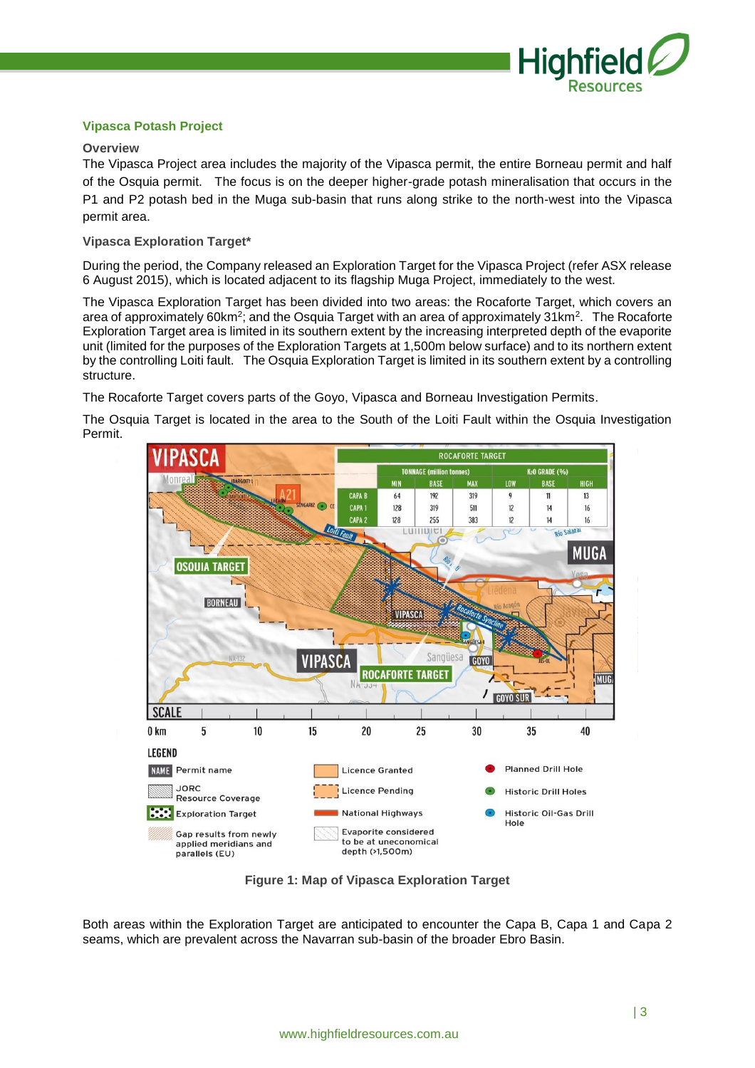

# **Vipasca Potash Project**

# **Overview**

The Vipasca Project area includes the majority of the Vipasca permit, the entire Borneau permit and half of the Osquia permit. The focus is on the deeper higher-grade potash mineralisation that occurs in the P1 and P2 potash bed in the Muga sub-basin that runs along strike to the north-west into the Vipasca permit area.

# **Vipasca Exploration Target\***

During the period, the Company released an Exploration Target for the Vipasca Project (refer ASX release 6 August 2015), which is located adjacent to its flagship Muga Project, immediately to the west.

The Vipasca Exploration Target has been divided into two areas: the Rocaforte Target, which covers an area of approximately 60km<sup>2</sup>; and the Osquia Target with an area of approximately 31km<sup>2</sup>. The Rocaforte Exploration Target area is limited in its southern extent by the increasing interpreted depth of the evaporite unit (limited for the purposes of the Exploration Targets at 1,500m below surface) and to its northern extent by the controlling Loiti fault. The Osquia Exploration Target is limited in its southern extent by a controlling structure.

The Rocaforte Target covers parts of the Goyo, Vipasca and Borneau Investigation Permits.

The Osquia Target is located in the area to the South of the Loiti Fault within the Osquia Investigation Permit.



**Figure 1: Map of Vipasca Exploration Target**

Both areas within the Exploration Target are anticipated to encounter the Capa B, Capa 1 and Capa 2 seams, which are prevalent across the Navarran sub-basin of the broader Ebro Basin.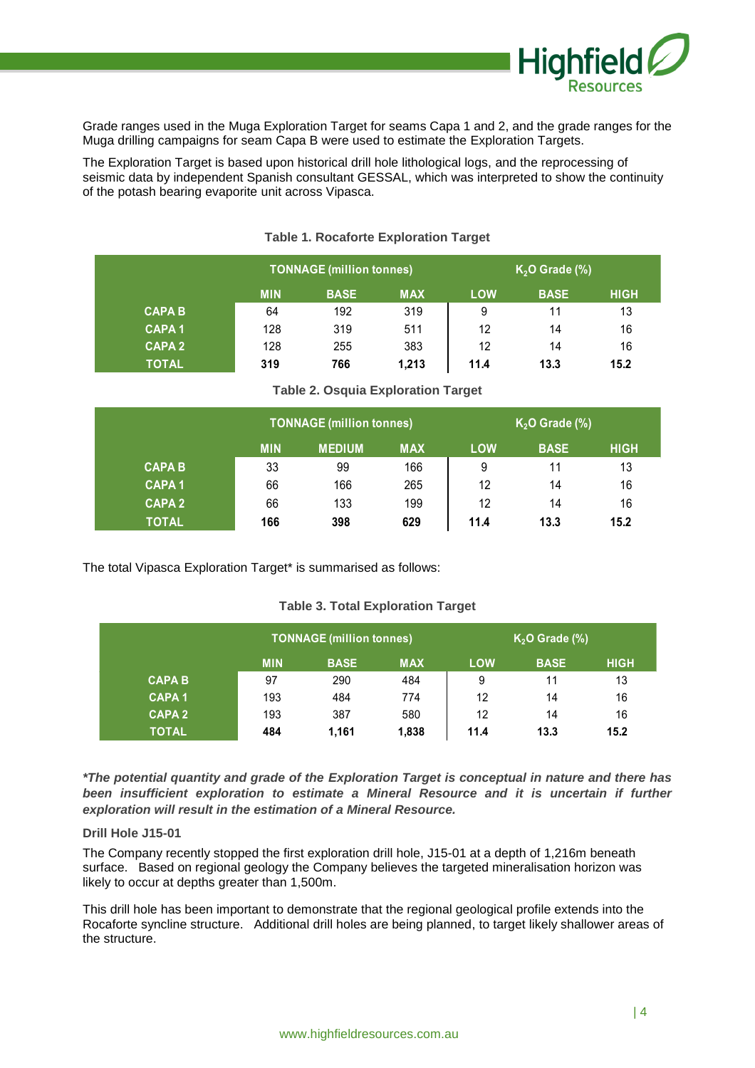

Grade ranges used in the Muga Exploration Target for seams Capa 1 and 2, and the grade ranges for the Muga drilling campaigns for seam Capa B were used to estimate the Exploration Targets.

The Exploration Target is based upon historical drill hole lithological logs, and the reprocessing of seismic data by independent Spanish consultant GESSAL, which was interpreted to show the continuity of the potash bearing evaporite unit across Vipasca.

|               |            | <b>TONNAGE (million tonnes)</b> |            | $K2O$ Grade (%) |             |             |  |
|---------------|------------|---------------------------------|------------|-----------------|-------------|-------------|--|
|               | <b>MIN</b> | <b>BASE</b>                     | <b>MAX</b> | <b>LOW</b>      | <b>BASE</b> | <b>HIGH</b> |  |
| <b>CAPA B</b> | 64         | 192                             | 319        | 9               | 11          | 13          |  |
| <b>CAPA1</b>  | 128        | 319                             | 511        | 12              | 14          | 16          |  |
| <b>CAPA 2</b> | 128        | 255                             | 383        | 12              | 14          | 16          |  |
| <b>TOTAL</b>  | 319        | 766                             | 1,213      | 11.4            | 13.3        | 15.2        |  |

# **Table 1. Rocaforte Exploration Target**

# **Table 2. Osquia Exploration Target**

|               |            | <b>TONNAGE (million tonnes)</b> |            | $K2O$ Grade (%) |             |             |  |
|---------------|------------|---------------------------------|------------|-----------------|-------------|-------------|--|
|               | <b>MIN</b> | <b>MEDIUM</b>                   | <b>MAX</b> | <b>LOW</b>      | <b>BASE</b> | <b>HIGH</b> |  |
| <b>CAPA B</b> | 33         | 99                              | 166        | 9               | 11          | 13          |  |
| <b>CAPA1</b>  | 66         | 166                             | 265        | 12              | 14          | 16          |  |
| <b>CAPA 2</b> | 66         | 133                             | 199        | 12              | 14          | 16          |  |
| <b>TOTAL</b>  | 166        | 398                             | 629        | 11.4            | 13.3        | 15.2        |  |

The total Vipasca Exploration Target\* is summarised as follows:

# **Table 3. Total Exploration Target**

|               |            | <b>TONNAGE (million tonnes)</b> |            | $K2O$ Grade (%) |             |             |  |
|---------------|------------|---------------------------------|------------|-----------------|-------------|-------------|--|
|               | <b>MIN</b> | <b>BASE</b>                     | <b>MAX</b> | <b>LOW</b>      | <b>BASE</b> | <b>HIGH</b> |  |
| <b>CAPA B</b> | 97         | 290                             | 484        | 9               | 11          | 13          |  |
| <b>CAPA1</b>  | 193        | 484                             | 774        | 12              | 14          | 16          |  |
| <b>CAPA2</b>  | 193        | 387                             | 580        | 12              | 14          | 16          |  |
| <b>TOTAL</b>  | 484        | 1.161                           | 1,838      | 11.4            | 13.3        | 15.2        |  |

*\*The potential quantity and grade of the Exploration Target is conceptual in nature and there has been insufficient exploration to estimate a Mineral Resource and it is uncertain if further exploration will result in the estimation of a Mineral Resource.*

# **Drill Hole J15-01**

The Company recently stopped the first exploration drill hole, J15-01 at a depth of 1,216m beneath surface. Based on regional geology the Company believes the targeted mineralisation horizon was likely to occur at depths greater than 1,500m.

This drill hole has been important to demonstrate that the regional geological profile extends into the Rocaforte syncline structure. Additional drill holes are being planned, to target likely shallower areas of the structure.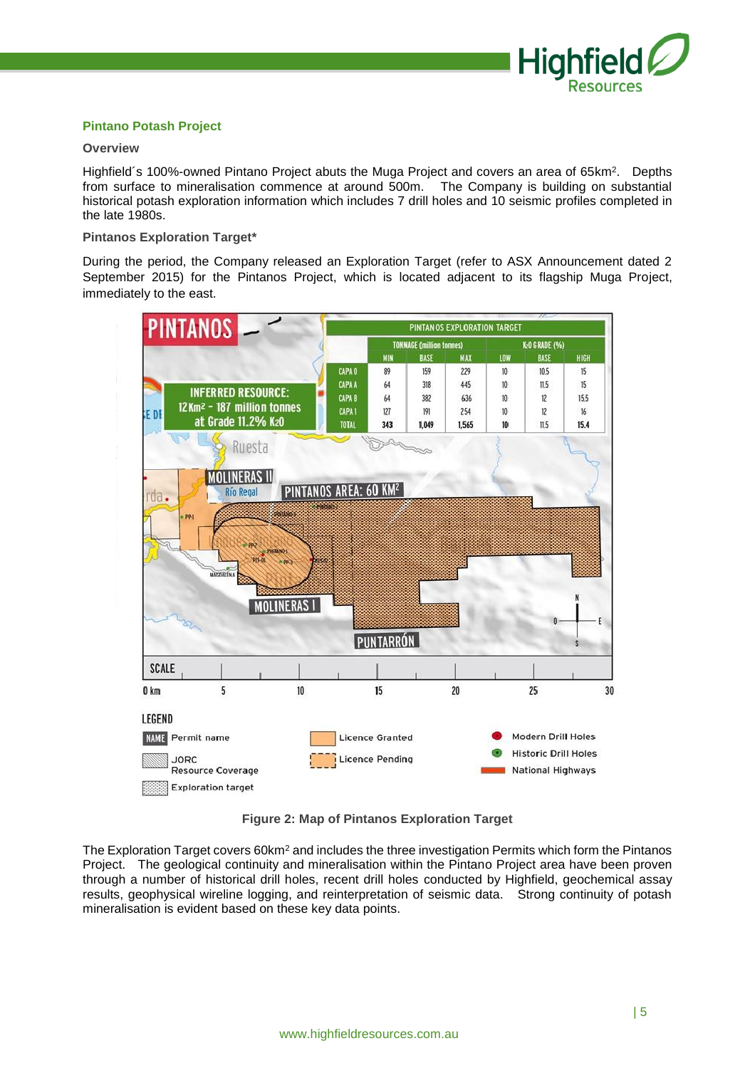

# **Pintano Potash Project**

# **Overview**

Highfield's 100%-owned Pintano Project abuts the Muga Project and covers an area of 65km<sup>2</sup>. Depths from surface to mineralisation commence at around 500m. The Company is building on substantial historical potash exploration information which includes 7 drill holes and 10 seismic profiles completed in the late 1980s.

# **Pintanos Exploration Target\***

During the period, the Company released an Exploration Target (refer to ASX Announcement dated 2 September 2015) for the Pintanos Project, which is located adjacent to its flagship Muga Project, immediately to the east.



**Figure 2: Map of Pintanos Exploration Target**

The Exploration Target covers 60km<sup>2</sup> and includes the three investigation Permits which form the Pintanos Project. The geological continuity and mineralisation within the Pintano Project area have been proven through a number of historical drill holes, recent drill holes conducted by Highfield, geochemical assay results, geophysical wireline logging, and reinterpretation of seismic data. Strong continuity of potash mineralisation is evident based on these key data points.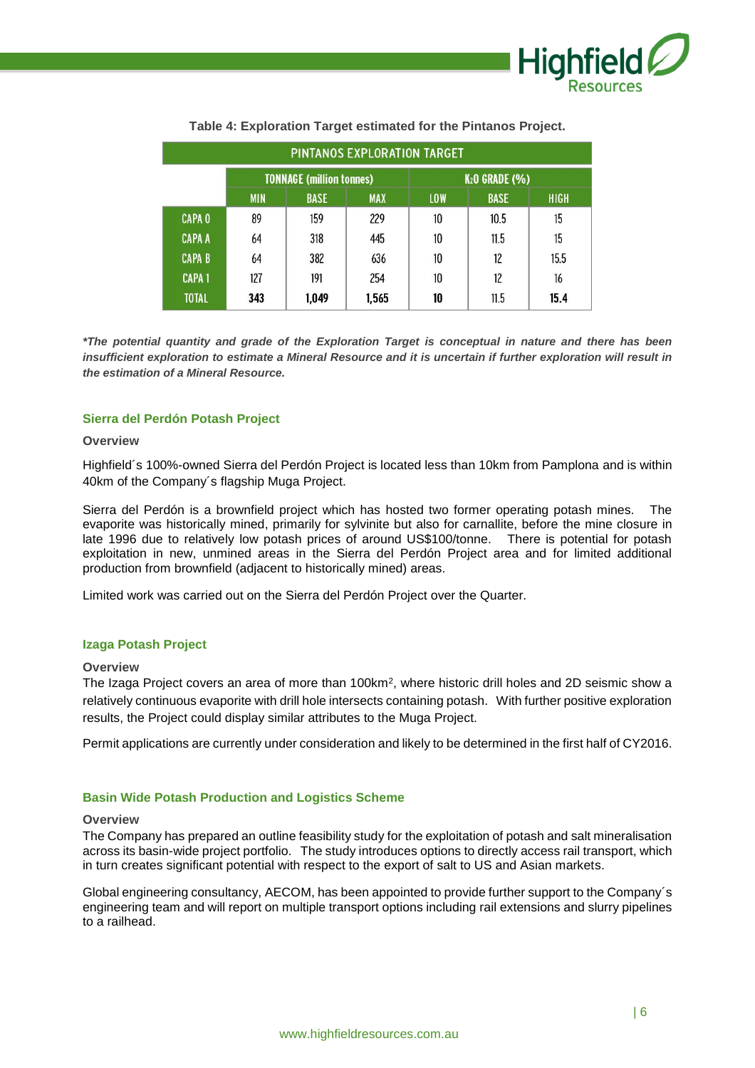

| PINTANOS EXPLORATION TARGET |                                                                      |       |       |                                 |      |             |  |  |
|-----------------------------|----------------------------------------------------------------------|-------|-------|---------------------------------|------|-------------|--|--|
|                             | <b>TONNAGE (million tonnes)</b>                                      |       |       | <b>K<sub>2</sub>O GRADE (%)</b> |      |             |  |  |
|                             | <b>BASE</b><br><b>BASE</b><br><b>MIN</b><br><b>MAX</b><br><b>LOW</b> |       |       |                                 |      | <b>HIGH</b> |  |  |
| <b>CAPA 0</b>               | 89                                                                   | 159   | 229   | 10                              | 10.5 | 15          |  |  |
| <b>CAPA A</b>               | 64                                                                   | 318   | 445   | 10                              | 11.5 | 15          |  |  |
| <b>CAPA B</b>               | 64                                                                   | 382   | 636   | 10                              | 12   | 15.5        |  |  |
| <b>CAPA1</b>                | 127                                                                  | 191   | 254   | 10                              | 12   | 16          |  |  |
| <b>TOTAL</b>                | 343                                                                  | 1,049 | 1,565 | 10                              | 11.5 | 15.4        |  |  |

# **Table 4: Exploration Target estimated for the Pintanos Project.**

*\*The potential quantity and grade of the Exploration Target is conceptual in nature and there has been insufficient exploration to estimate a Mineral Resource and it is uncertain if further exploration will result in the estimation of a Mineral Resource.*

# **Sierra del Perdón Potash Project**

#### **Overview**

Highfield´s 100%-owned Sierra del Perdón Project is located less than 10km from Pamplona and is within 40km of the Company´s flagship Muga Project.

Sierra del Perdón is a brownfield project which has hosted two former operating potash mines. The evaporite was historically mined, primarily for sylvinite but also for carnallite, before the mine closure in late 1996 due to relatively low potash prices of around US\$100/tonne. There is potential for potash exploitation in new, unmined areas in the Sierra del Perdón Project area and for limited additional production from brownfield (adjacent to historically mined) areas.

Limited work was carried out on the Sierra del Perdón Project over the Quarter.

# **Izaga Potash Project**

#### **Overview**

The Izaga Project covers an area of more than 100km<sup>2</sup>, where historic drill holes and 2D seismic show a relatively continuous evaporite with drill hole intersects containing potash. With further positive exploration results, the Project could display similar attributes to the Muga Project.

Permit applications are currently under consideration and likely to be determined in the first half of CY2016.

#### **Basin Wide Potash Production and Logistics Scheme**

#### **Overview**

The Company has prepared an outline feasibility study for the exploitation of potash and salt mineralisation across its basin-wide project portfolio. The study introduces options to directly access rail transport, which in turn creates significant potential with respect to the export of salt to US and Asian markets.

Global engineering consultancy, AECOM, has been appointed to provide further support to the Company´s engineering team and will report on multiple transport options including rail extensions and slurry pipelines to a railhead.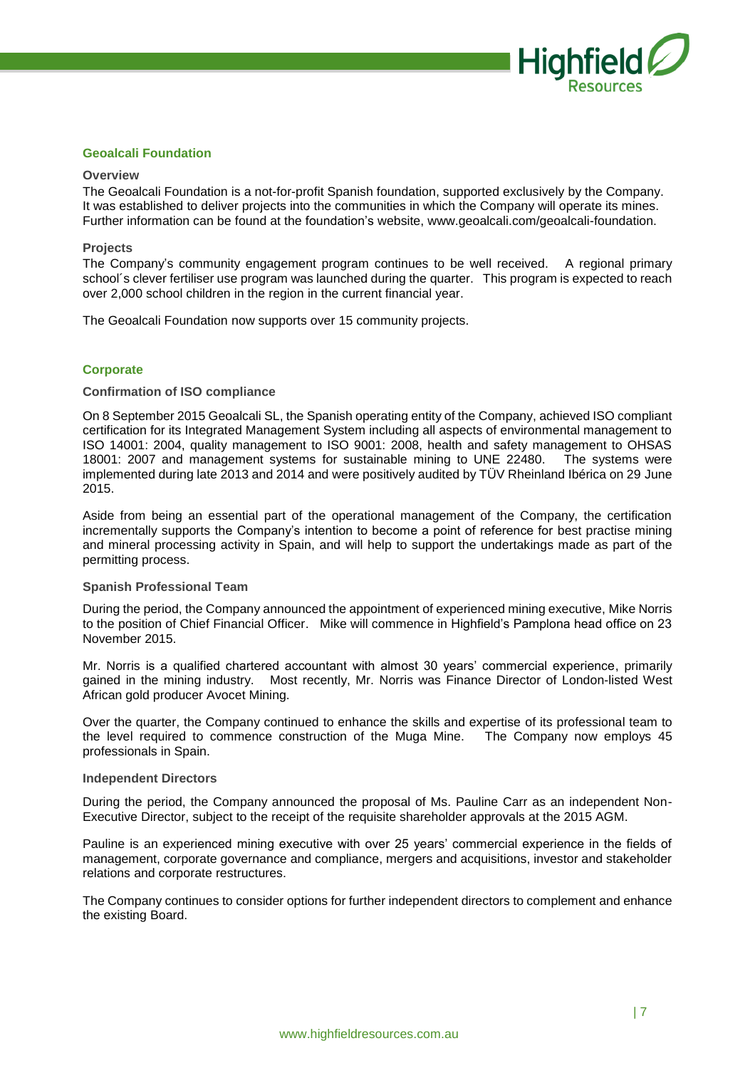

# **Geoalcali Foundation**

# **Overview**

The Geoalcali Foundation is a not-for-profit Spanish foundation, supported exclusively by the Company. It was established to deliver projects into the communities in which the Company will operate its mines. Further information can be found at the foundation's website, www.geoalcali.com/geoalcali-foundation.

#### **Projects**

The Company's community engagement program continues to be well received. A regional primary school´s clever fertiliser use program was launched during the quarter. This program is expected to reach over 2,000 school children in the region in the current financial year.

The Geoalcali Foundation now supports over 15 community projects.

# **Corporate**

#### **Confirmation of ISO compliance**

On 8 September 2015 Geoalcali SL, the Spanish operating entity of the Company, achieved ISO compliant certification for its Integrated Management System including all aspects of environmental management to ISO 14001: 2004, quality management to ISO 9001: 2008, health and safety management to OHSAS 18001: 2007 and management systems for sustainable mining to UNE 22480. The systems were implemented during late 2013 and 2014 and were positively audited by TÜV Rheinland Ibérica on 29 June 2015.

Aside from being an essential part of the operational management of the Company, the certification incrementally supports the Company's intention to become a point of reference for best practise mining and mineral processing activity in Spain, and will help to support the undertakings made as part of the permitting process.

# **Spanish Professional Team**

During the period, the Company announced the appointment of experienced mining executive, Mike Norris to the position of Chief Financial Officer. Mike will commence in Highfield's Pamplona head office on 23 November 2015.

Mr. Norris is a qualified chartered accountant with almost 30 years' commercial experience, primarily gained in the mining industry. Most recently, Mr. Norris was Finance Director of London-listed West African gold producer Avocet Mining.

Over the quarter, the Company continued to enhance the skills and expertise of its professional team to the level required to commence construction of the Muga Mine. The Company now employs 45 professionals in Spain.

#### **Independent Directors**

During the period, the Company announced the proposal of Ms. Pauline Carr as an independent Non-Executive Director, subject to the receipt of the requisite shareholder approvals at the 2015 AGM.

Pauline is an experienced mining executive with over 25 years' commercial experience in the fields of management, corporate governance and compliance, mergers and acquisitions, investor and stakeholder relations and corporate restructures.

The Company continues to consider options for further independent directors to complement and enhance the existing Board.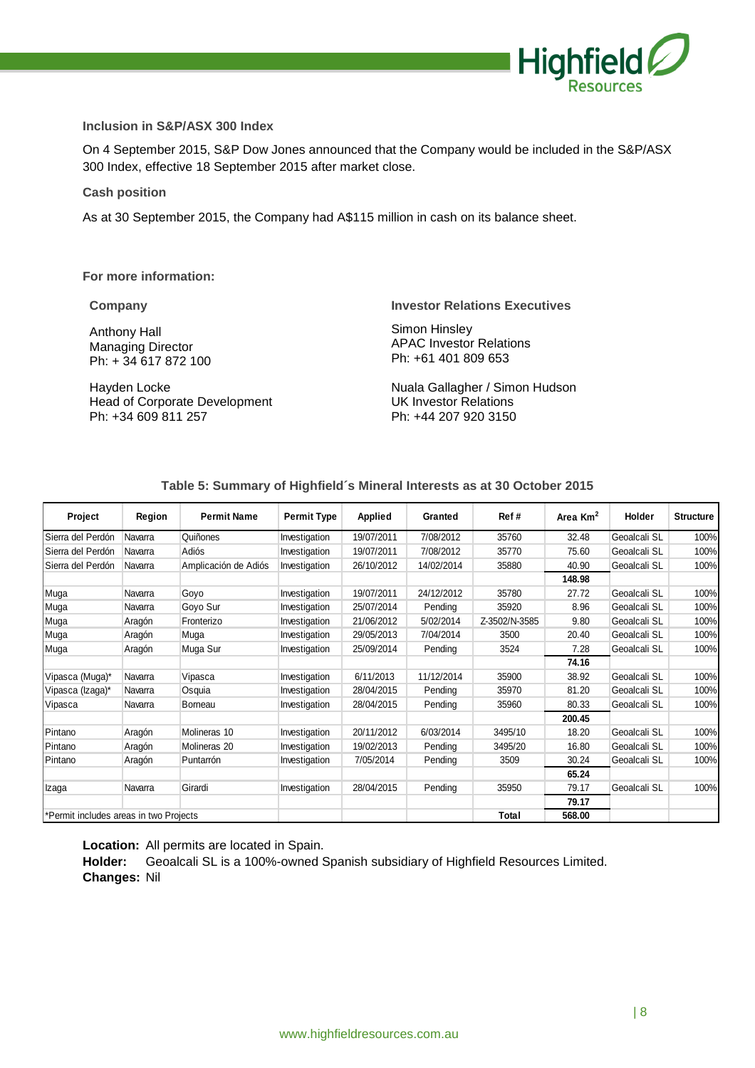

# **Inclusion in S&P/ASX 300 Index**

On 4 September 2015, S&P Dow Jones announced that the Company would be included in the S&P/ASX 300 Index, effective 18 September 2015 after market close.

#### **Cash position**

As at 30 September 2015, the Company had A\$115 million in cash on its balance sheet.

**For more information:**

Anthony Hall Managing Director Ph: + 34 617 872 100

Hayden Locke Head of Corporate Development Ph: +34 609 811 257

#### **Company Investor Relations Executives**

Simon Hinsley APAC Investor Relations Ph: +61 401 809 653

Nuala Gallagher / Simon Hudson UK Investor Relations Ph: +44 207 920 3150

# **Table 5: Summary of Highfield´s Mineral Interests as at 30 October 2015**

| Project                                | Region  | <b>Permit Name</b>   | <b>Permit Type</b> | <b>Applied</b> | Granted    | Ref#          | Area $Km2$ | Holder       | <b>Structure</b> |
|----------------------------------------|---------|----------------------|--------------------|----------------|------------|---------------|------------|--------------|------------------|
| Sierra del Perdón                      | Navarra | Quiñones             | Investigation      | 19/07/2011     | 7/08/2012  | 35760         | 32.48      | Geoalcali SL | 100%             |
| Sierra del Perdón                      | Navarra | Adiós                | Investigation      | 19/07/2011     | 7/08/2012  | 35770         | 75.60      | Geoalcali SL | 100%             |
| Sierra del Perdón                      | Navarra | Amplicación de Adiós | Investigation      | 26/10/2012     | 14/02/2014 | 35880         | 40.90      | Geoalcali SL | 100%             |
|                                        |         |                      |                    |                |            |               | 148.98     |              |                  |
| Muga                                   | Navarra | Goyo                 | Investigation      | 19/07/2011     | 24/12/2012 | 35780         | 27.72      | Geoalcali SL | 100%             |
| Muga                                   | Navarra | Goyo Sur             | Investigation      | 25/07/2014     | Pending    | 35920         | 8.96       | Geoalcali SL | 100%             |
| Muga                                   | Aragón  | Fronterizo           | Investigation      | 21/06/2012     | 5/02/2014  | Z-3502/N-3585 | 9.80       | Geoalcali SL | 100%             |
| Muga                                   | Aragón  | Muga                 | Investigation      | 29/05/2013     | 7/04/2014  | 3500          | 20.40      | Geoalcali SL | 100%             |
| Muga                                   | Aragón  | Muga Sur             | Investigation      | 25/09/2014     | Pending    | 3524          | 7.28       | Geoalcali SL | 100%             |
|                                        |         |                      |                    |                |            |               | 74.16      |              |                  |
| Vipasca (Muga)*                        | Navarra | Vipasca              | Investigation      | 6/11/2013      | 11/12/2014 | 35900         | 38.92      | Geoalcali SL | 100%             |
| Vipasca (Izaga)*                       | Navarra | Osquia               | Investigation      | 28/04/2015     | Pending    | 35970         | 81.20      | Geoalcali SL | 100%             |
| Vipasca                                | Navarra | Borneau              | Investigation      | 28/04/2015     | Pending    | 35960         | 80.33      | Geoalcali SL | 100%             |
|                                        |         |                      |                    |                |            |               | 200.45     |              |                  |
| Pintano                                | Aragón  | Molineras 10         | Investigation      | 20/11/2012     | 6/03/2014  | 3495/10       | 18.20      | Geoalcali SL | 100%             |
| Pintano                                | Aragón  | Molineras 20         | Investigation      | 19/02/2013     | Pendina    | 3495/20       | 16.80      | Geoalcali SL | 100%             |
| Pintano                                | Aragón  | Puntarrón            | Investigation      | 7/05/2014      | Pending    | 3509          | 30.24      | Geoalcali SL | 100%             |
|                                        |         |                      |                    |                |            |               | 65.24      |              |                  |
| Izaga                                  | Navarra | Girardi              | Investigation      | 28/04/2015     | Pending    | 35950         | 79.17      | Geoalcali SL | 100%             |
|                                        |         |                      |                    |                |            |               | 79.17      |              |                  |
| *Permit includes areas in two Projects |         |                      |                    |                |            | Total         | 568.00     |              |                  |

**Location:** All permits are located in Spain.

**Holder:** Geoalcali SL is a 100%-owned Spanish subsidiary of Highfield Resources Limited. **Changes:** Nil